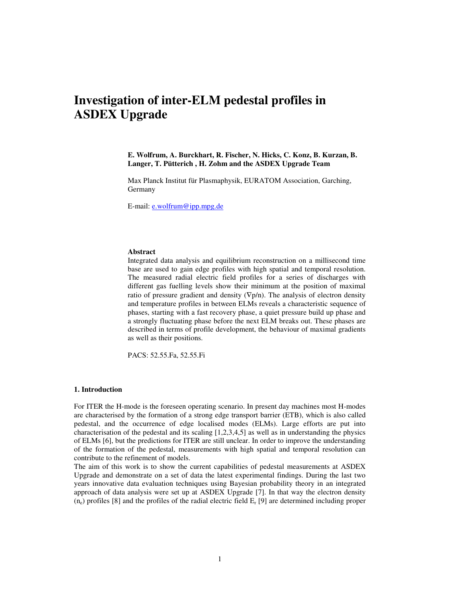# **Investigation of inter-ELM pedestal profiles in ASDEX Upgrade**

**E. Wolfrum, A. Burckhart, R. Fischer, N. Hicks, C. Konz, B. Kurzan, B. Langer, T. Pütterich , H. Zohm and the ASDEX Upgrade Team** 

Max Planck Institut für Plasmaphysik, EURATOM Association, Garching, Germany

E-mail: e.wolfrum@ipp.mpg.de

#### **Abstract**

Integrated data analysis and equilibrium reconstruction on a millisecond time base are used to gain edge profiles with high spatial and temporal resolution. The measured radial electric field profiles for a series of discharges with different gas fuelling levels show their minimum at the position of maximal ratio of pressure gradient and density  $(\nabla p/n)$ . The analysis of electron density and temperature profiles in between ELMs reveals a characteristic sequence of phases, starting with a fast recovery phase, a quiet pressure build up phase and a strongly fluctuating phase before the next ELM breaks out. These phases are described in terms of profile development, the behaviour of maximal gradients as well as their positions.

PACS: 52.55.Fa, 52.55.Fi

## **1. Introduction**

For ITER the H-mode is the foreseen operating scenario. In present day machines most H-modes are characterised by the formation of a strong edge transport barrier (ETB), which is also called pedestal, and the occurrence of edge localised modes (ELMs). Large efforts are put into characterisation of the pedestal and its scaling [1,2,3,4,5] as well as in understanding the physics of ELMs [6], but the predictions for ITER are still unclear. In order to improve the understanding of the formation of the pedestal, measurements with high spatial and temporal resolution can contribute to the refinement of models.

The aim of this work is to show the current capabilities of pedestal measurements at ASDEX Upgrade and demonstrate on a set of data the latest experimental findings. During the last two years innovative data evaluation techniques using Bayesian probability theory in an integrated approach of data analysis were set up at ASDEX Upgrade [7]. In that way the electron density  $(n_e)$  profiles [8] and the profiles of the radial electric field  $E_r$  [9] are determined including proper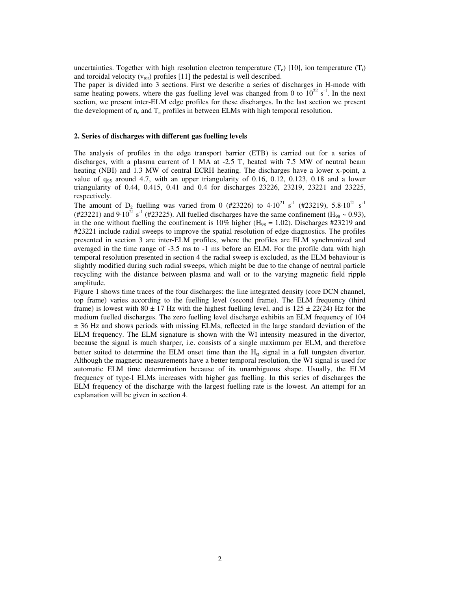uncertainties. Together with high resolution electron temperature  $(T_e)$  [10], ion temperature  $(T_i)$ and toroidal velocity  $(v_{tor})$  profiles [11] the pedestal is well described.

The paper is divided into 3 sections. First we describe a series of discharges in H-mode with same heating powers, where the gas fuelling level was changed from 0 to  $10^{22}$  s<sup>-1</sup>. In the next section, we present inter-ELM edge profiles for these discharges. In the last section we present the development of  $n_e$  and  $T_e$  profiles in between ELMs with high temporal resolution.

### **2. Series of discharges with different gas fuelling levels**

The analysis of profiles in the edge transport barrier (ETB) is carried out for a series of discharges, with a plasma current of 1 MA at -2.5 T, heated with 7.5 MW of neutral beam heating (NBI) and 1.3 MW of central ECRH heating. The discharges have a lower x-point, a value of  $q_{95}$  around 4.7, with an upper triangularity of 0.16, 0.12, 0.123, 0.18 and a lower triangularity of 0.44, 0.415, 0.41 and 0.4 for discharges 23226, 23219, 23221 and 23225, respectively.

The amount of D<sub>2</sub> fuelling was varied from 0 (#23226) to 4⋅10<sup>21</sup> s<sup>-1</sup> (#23219), 5.8⋅10<sup>21</sup> s<sup>-1</sup> (#23221) and 9⋅10<sup>21</sup> s<sup>-1</sup> (#23225). All fuelled discharges have the same confinement (H<sub>98</sub> ~ 0.93), in the one without fuelling the confinement is 10% higher ( $H_{98} = 1.02$ ). Discharges #23219 and #23221 include radial sweeps to improve the spatial resolution of edge diagnostics. The profiles presented in section 3 are inter-ELM profiles, where the profiles are ELM synchronized and averaged in the time range of -3.5 ms to -1 ms before an ELM. For the profile data with high temporal resolution presented in section 4 the radial sweep is excluded, as the ELM behaviour is slightly modified during such radial sweeps, which might be due to the change of neutral particle recycling with the distance between plasma and wall or to the varying magnetic field ripple amplitude.

Figure 1 shows time traces of the four discharges: the line integrated density (core DCN channel, top frame) varies according to the fuelling level (second frame). The ELM frequency (third frame) is lowest with 80  $\pm$  17 Hz with the highest fuelling level, and is 125  $\pm$  22(24) Hz for the medium fuelled discharges. The zero fuelling level discharge exhibits an ELM frequency of 104 ± 36 Hz and shows periods with missing ELMs, reflected in the large standard deviation of the ELM frequency. The ELM signature is shown with the WI intensity measured in the divertor, because the signal is much sharper, i.e. consists of a single maximum per ELM, and therefore better suited to determine the ELM onset time than the  $H_{\alpha}$  signal in a full tungsten divertor. Although the magnetic measurements have a better temporal resolution, the WI signal is used for automatic ELM time determination because of its unambiguous shape. Usually, the ELM frequency of type-I ELMs increases with higher gas fuelling. In this series of discharges the ELM frequency of the discharge with the largest fuelling rate is the lowest. An attempt for an explanation will be given in section 4.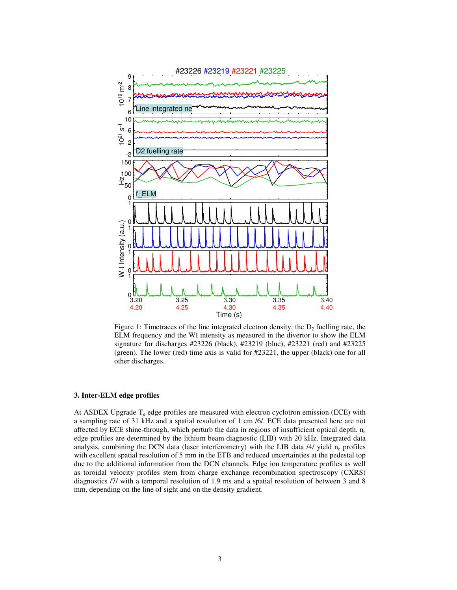

Figure 1: Timetraces of the line integrated electron density, the  $D_2$  fuelling rate, the ELM frequency and the WI intensity as measured in the divertor to show the ELM signature for discharges #23226 (black), #23219 (blue), #23221 (red) and #23225 (green). The lower (red) time axis is valid for #23221, the upper (black) one for all other discharges.

## **3. Inter-ELM edge profiles**

At ASDEX Upgrade  $T_e$  edge profiles are measured with electron cyclotron emission (ECE) with a sampling rate of 31 kHz and a spatial resolution of 1 cm /6/. ECE data presented here are not affected by ECE shine-through, which perturb the data in regions of insufficient optical depth.  $n_e$ edge profiles are determined by the lithium beam diagnostic (LIB) with 20 kHz. Integrated data analysis, combining the DCN data (laser interferometry) with the LIB data  $/4/$  yield  $n_e$  profiles with excellent spatial resolution of 5 mm in the ETB and reduced uncertainties at the pedestal top due to the additional information from the DCN channels. Edge ion temperature profiles as well as toroidal velocity profiles stem from charge exchange recombination spectroscopy (CXRS) diagnostics /7/ with a temporal resolution of 1.9 ms and a spatial resolution of between 3 and 8 mm, depending on the line of sight and on the density gradient.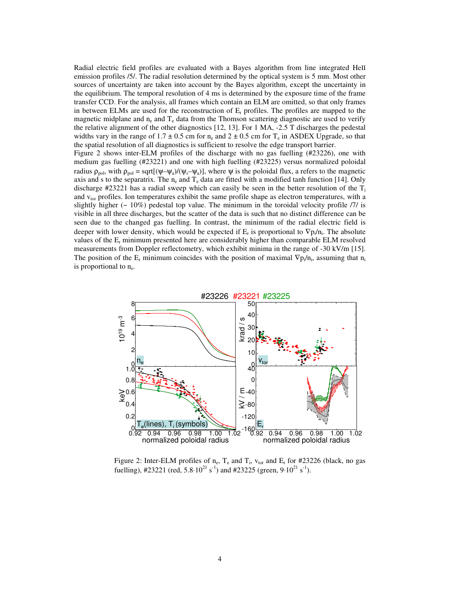Radial electric field profiles are evaluated with a Bayes algorithm from line integrated HeII emission profiles /5/. The radial resolution determined by the optical system is 5 mm. Most other sources of uncertainty are taken into account by the Bayes algorithm, except the uncertainty in the equilibrium. The temporal resolution of 4 ms is determined by the exposure time of the frame transfer CCD. For the analysis, all frames which contain an ELM are omitted, so that only frames in between ELMs are used for the reconstruction of  $E_r$  profiles. The profiles are mapped to the magnetic midplane and  $n_e$  and  $T_e$  data from the Thomson scattering diagnostic are used to verify the relative alignment of the other diagnostics [12, 13]. For 1 MA, -2.5 T discharges the pedestal widths vary in the range of  $1.7 \pm 0.5$  cm for  $n_e$  and  $2 \pm 0.5$  cm for  $T_e$  in ASDEX Upgrade, so that the spatial resolution of all diagnostics is sufficient to resolve the edge transport barrier.

Figure 2 shows inter-ELM profiles of the discharge with no gas fuelling (#23226), one with medium gas fuelling (#23221) and one with high fuelling (#23225) versus normalized poloidal radius  $\rho_{pol}$ , with  $\rho_{pol} = \sqrt{\psi_a y} / (\psi_s - \psi_a)$ , where  $\psi$  is the poloidal flux, a refers to the magnetic axis and s to the separatrix. The  $n_e$  and  $T_e$  data are fitted with a modified tanh function [14]. Only discharge #23221 has a radial sweep which can easily be seen in the better resolution of the  $T_i$ and v<sub>tor</sub> profiles. Ion temperatures exhibit the same profile shape as electron temperatures, with a slightly higher  $(-10\%)$  pedestal top value. The minimum in the toroidal velocity profile /7/ is visible in all three discharges, but the scatter of the data is such that no distinct difference can be seen due to the changed gas fuelling. In contrast, the minimum of the radial electric field is deeper with lower density, which would be expected if  $E_r$  is proportional to  $\nabla p_i/n_i$ . The absolute values of the  $E_r$  minimum presented here are considerably higher than comparable ELM resolved measurements from Doppler reflectometry, which exhibit minima in the range of -30 kV/m [15]. The position of the  $E_r$  minimum coincides with the position of maximal  $\nabla p_i/n_i$ , assuming that  $n_i$ is proportional to  $n_e$ .



Figure 2: Inter-ELM profiles of  $n_e$ ,  $T_e$  and  $T_i$ ,  $v_{tor}$  and  $E_r$  for #23226 (black, no gas fuelling), #23221 (red,  $5.8 \cdot 10^{21}$  s<sup>-1</sup>) and #23225 (green,  $9 \cdot 10^{21}$  s<sup>-1</sup>).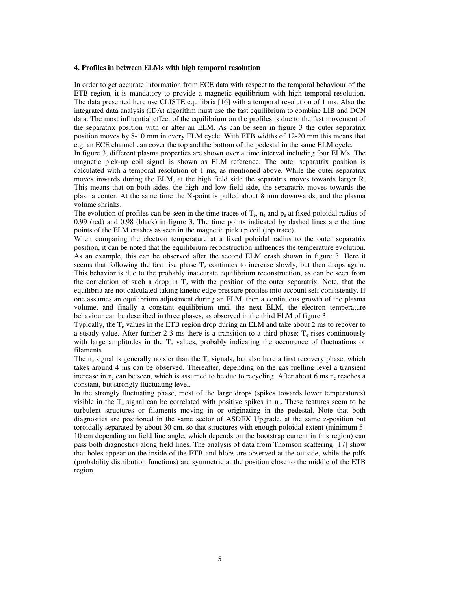### **4. Profiles in between ELMs with high temporal resolution**

In order to get accurate information from ECE data with respect to the temporal behaviour of the ETB region, it is mandatory to provide a magnetic equilibrium with high temporal resolution. The data presented here use CLISTE equilibria [16] with a temporal resolution of 1 ms. Also the integrated data analysis (IDA) algorithm must use the fast equilibrium to combine LIB and DCN data. The most influential effect of the equilibrium on the profiles is due to the fast movement of the separatrix position with or after an ELM. As can be seen in figure 3 the outer separatrix position moves by 8-10 mm in every ELM cycle. With ETB widths of 12-20 mm this means that e.g. an ECE channel can cover the top and the bottom of the pedestal in the same ELM cycle.

In figure 3, different plasma properties are shown over a time interval including four ELMs. The magnetic pick-up coil signal is shown as ELM reference. The outer separatrix position is calculated with a temporal resolution of 1 ms, as mentioned above. While the outer separatrix moves inwards during the ELM, at the high field side the separatrix moves towards larger R. This means that on both sides, the high and low field side, the separatrix moves towards the plasma center. At the same time the X-point is pulled about 8 mm downwards, and the plasma volume shrinks.

The evolution of profiles can be seen in the time traces of  $T_e$ ,  $n_e$  and  $p_e$  at fixed poloidal radius of 0.99 (red) and 0.98 (black) in figure 3. The time points indicated by dashed lines are the time points of the ELM crashes as seen in the magnetic pick up coil (top trace).

When comparing the electron temperature at a fixed poloidal radius to the outer separatrix position, it can be noted that the equilibrium reconstruction influences the temperature evolution. As an example, this can be observed after the second ELM crash shown in figure 3. Here it seems that following the fast rise phase  $T_e$  continues to increase slowly, but then drops again. This behavior is due to the probably inaccurate equilibrium reconstruction, as can be seen from the correlation of such a drop in  $T_e$  with the position of the outer separatrix. Note, that the equilibria are not calculated taking kinetic edge pressure profiles into account self consistently. If one assumes an equilibrium adjustment during an ELM, then a continuous growth of the plasma volume, and finally a constant equilibrium until the next ELM, the electron temperature behaviour can be described in three phases, as observed in the third ELM of figure 3.

Typically, the  $T_e$  values in the ETB region drop during an ELM and take about 2 ms to recover to a steady value. After further 2-3 ms there is a transition to a third phase:  $T_e$  rises continuously with large amplitudes in the  $T_e$  values, probably indicating the occurrence of fluctuations or filaments.

The  $n_e$  signal is generally noisier than the  $T_e$  signals, but also here a first recovery phase, which takes around 4 ms can be observed. Thereafter, depending on the gas fuelling level a transient increase in  $n_e$  can be seen, which is assumed to be due to recycling. After about 6 ms  $n_e$  reaches a constant, but strongly fluctuating level.

In the strongly fluctuating phase, most of the large drops (spikes towards lower temperatures) visible in the  $T_e$  signal can be correlated with positive spikes in  $n_e$ . These features seem to be turbulent structures or filaments moving in or originating in the pedestal. Note that both diagnostics are positioned in the same sector of ASDEX Upgrade, at the same z-position but toroidally separated by about 30 cm, so that structures with enough poloidal extent (minimum 5- 10 cm depending on field line angle, which depends on the bootstrap current in this region) can pass both diagnostics along field lines. The analysis of data from Thomson scattering [17] show that holes appear on the inside of the ETB and blobs are observed at the outside, while the pdfs (probability distribution functions) are symmetric at the position close to the middle of the ETB region.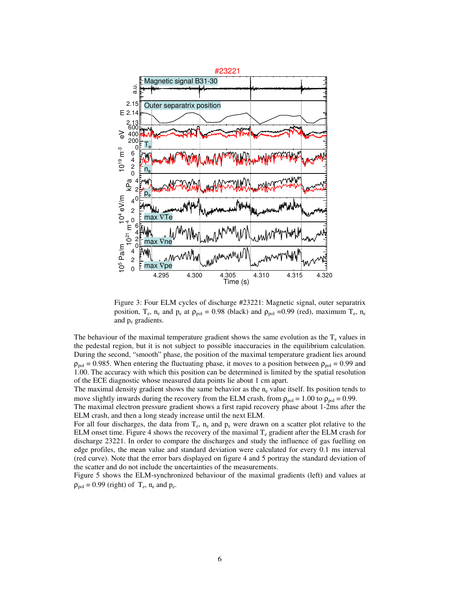

Figure 3: Four ELM cycles of discharge #23221: Magnetic signal, outer separatrix position, T<sub>e</sub>, n<sub>e</sub> and p<sub>e</sub> at  $\rho_{pol} = 0.98$  (black) and  $\rho_{pol} = 0.99$  (red), maximum T<sub>e</sub>, n<sub>e</sub> and p<sup>e</sup> gradients.

The behaviour of the maximal temperature gradient shows the same evolution as the  $T_e$  values in the pedestal region, but it is not subject to possible inaccuracies in the equilibrium calculation. During the second, "smooth" phase, the position of the maximal temperature gradient lies around  $\rho_{pol} = 0.985$ . When entering the fluctuating phase, it moves to a position between  $\rho_{pol} = 0.99$  and 1.00. The accuracy with which this position can be determined is limited by the spatial resolution of the ECE diagnostic whose measured data points lie about 1 cm apart.

The maximal density gradient shows the same behavior as the  $n_e$  value itself. Its position tends to move slightly inwards during the recovery from the ELM crash, from  $\rho_{pol} = 1.00$  to  $\rho_{pol} = 0.99$ .

The maximal electron pressure gradient shows a first rapid recovery phase about 1-2ms after the ELM crash, and then a long steady increase until the next ELM.

For all four discharges, the data from  $T_e$ ,  $n_e$  and  $p_e$  were drawn on a scatter plot relative to the ELM onset time. Figure 4 shows the recovery of the maximal  $T_e$  gradient after the ELM crash for discharge 23221. In order to compare the discharges and study the influence of gas fuelling on edge profiles, the mean value and standard deviation were calculated for every 0.1 ms interval (red curve). Note that the error bars displayed on figure 4 and 5 portray the standard deviation of the scatter and do not include the uncertainties of the measurements.

Figure 5 shows the ELM-synchronized behaviour of the maximal gradients (left) and values at  $\rho_{pol} = 0.99$  (right) of  $T_e$ ,  $n_e$  and  $p_e$ .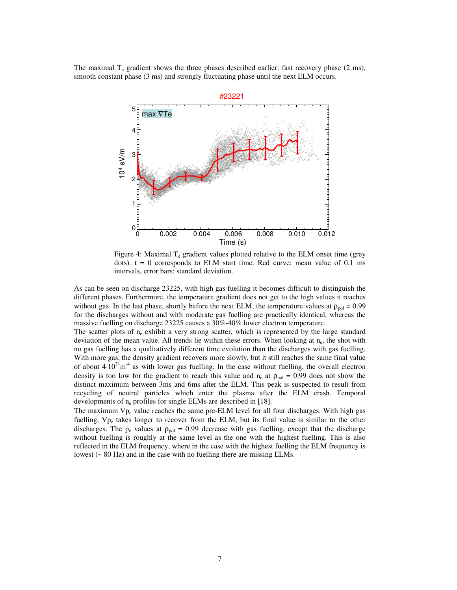The maximal  $T_e$  gradient shows the three phases described earlier: fast recovery phase (2 ms), smooth constant phase (3 ms) and strongly fluctuating phase until the next ELM occurs.



Figure 4: Maximal  $T_e$  gradient values plotted relative to the ELM onset time (grey dots).  $t = 0$  corresponds to ELM start time. Red curve: mean value of 0.1 ms intervals, error bars: standard deviation.

As can be seen on discharge 23225, with high gas fuelling it becomes difficult to distinguish the different phases. Furthermore, the temperature gradient does not get to the high values it reaches without gas. In the last phase, shortly before the next ELM, the temperature values at  $\rho_{\text{pol}} = 0.99$ for the discharges without and with moderate gas fuelling are practically identical, whereas the massive fuelling on discharge 23225 causes a 30%-40% lower electron temperature.

The scatter plots of  $n_e$  exhibit a very strong scatter, which is represented by the large standard deviation of the mean value. All trends lie within these errors. When looking at n<sub>e</sub>, the shot with no gas fuelling has a qualitatively different time evolution than the discharges with gas fuelling. With more gas, the density gradient recovers more slowly, but it still reaches the same final value of about  $4·10<sup>21</sup>m<sup>-4</sup>$  as with lower gas fuelling. In the case without fuelling, the overall electron density is too low for the gradient to reach this value and  $n_e$  at  $\rho_{pol} = 0.99$  does not show the distinct maximum between 3ms and 6ms after the ELM. This peak is suspected to result from recycling of neutral particles which enter the plasma after the ELM crash. Temporal developments of  $n_e$  profiles for single ELMs are described in [18].

The maximum  $\nabla p_e$  value reaches the same pre-ELM level for all four discharges. With high gas fuelling,  $\nabla p_e$  takes longer to recover from the ELM, but its final value is similar to the other discharges. The  $p_e$  values at  $\rho_{pol} = 0.99$  decrease with gas fuelling, except that the discharge without fuelling is roughly at the same level as the one with the highest fuelling. This is also reflected in the ELM frequency, where in the case with the highest fuelling the ELM frequency is lowest (~ 80 Hz) and in the case with no fuelling there are missing ELMs.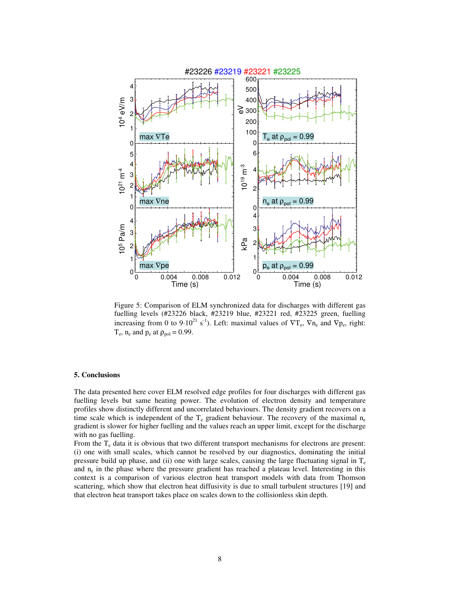

Figure 5: Comparison of ELM synchronized data for discharges with different gas fuelling levels (#23226 black, #23219 blue, #23221 red, #23225 green, fuelling increasing from 0 to 9⋅10<sup>21</sup> s<sup>-1</sup>). Left: maximal values of  $\nabla T_e$ ,  $\nabla n_e$  and  $\nabla p_e$ , right:  $T_e$ ,  $n_e$  and  $p_e$  at  $\rho_{pol} = 0.99$ .

#### **5. Conclusions**

The data presented here cover ELM resolved edge profiles for four discharges with different gas fuelling levels but same heating power. The evolution of electron density and temperature profiles show distinctly different and uncorrelated behaviours. The density gradient recovers on a time scale which is independent of the  $T_e$  gradient behaviour. The recovery of the maximal  $n_e$ gradient is slower for higher fuelling and the values reach an upper limit, except for the discharge with no gas fuelling.

From the  $T_e$  data it is obvious that two different transport mechanisms for electrons are present: (i) one with small scales, which cannot be resolved by our diagnostics, dominating the initial pressure build up phase, and (ii) one with large scales, causing the large fluctuating signal in  $T_e$ and  $n_e$  in the phase where the pressure gradient has reached a plateau level. Interesting in this context is a comparison of various electron heat transport models with data from Thomson scattering, which show that electron heat diffusivity is due to small turbulent structures [19] and that electron heat transport takes place on scales down to the collisionless skin depth.